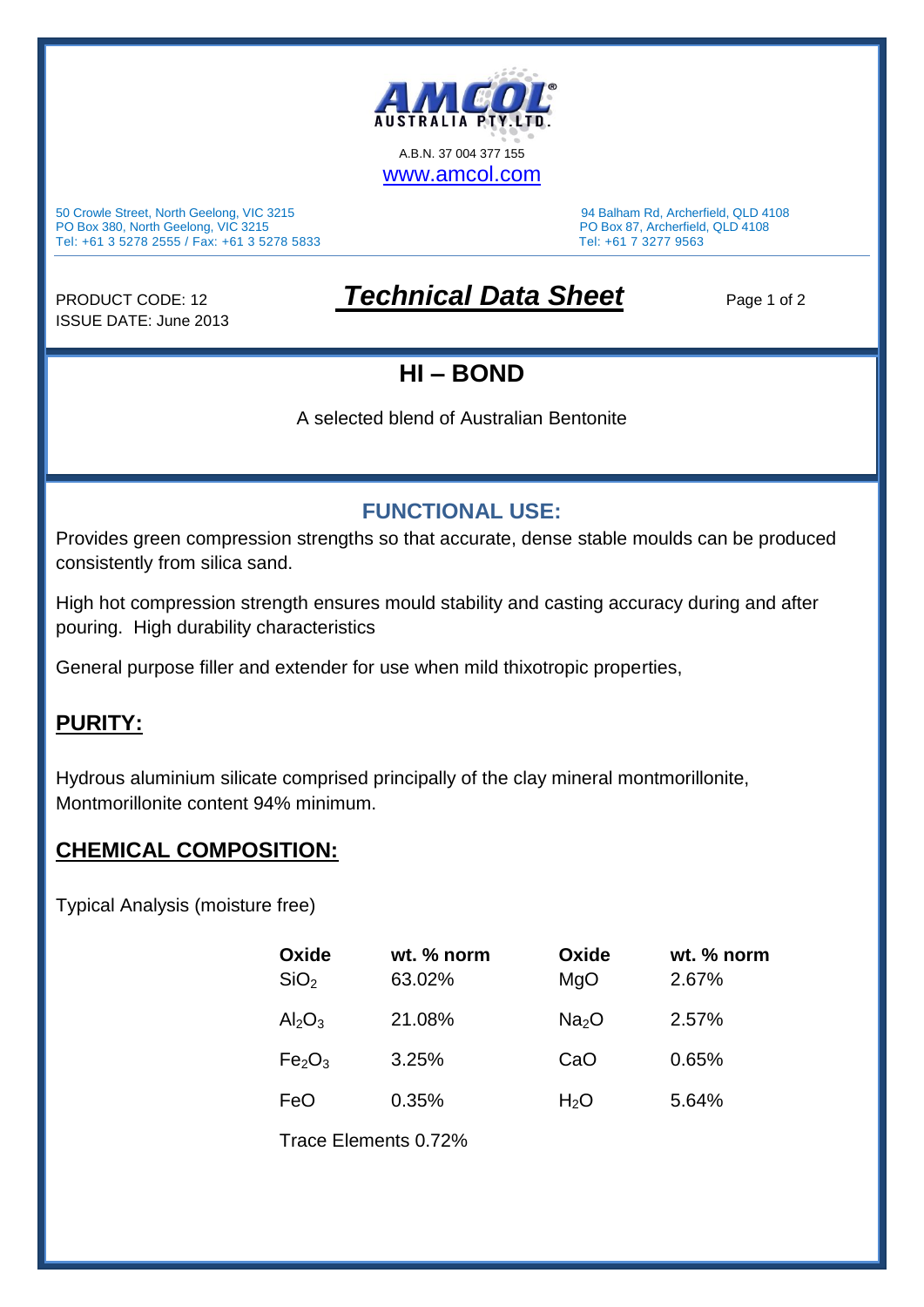

50 Crowle Street, North Geelong, VIC 3215 94 Balham Rd, Archerfield, QLD 4108 PO Box 380, North Geelong, VIC 3215 PO Box 87, Archerfield, QLD 4108 Tel: +61 3 5278 2555 / Fax: +61 3 5278 5833 Tel: +61 7 3277 9563

ISSUE DATE: June 2013

# PRODUCT CODE: 12 **Technical Data Sheet** Page 1 of 2

### **HI – BOND**

A selected blend of Australian Bentonite

#### **FUNCTIONAL USE:**

Provides green compression strengths so that accurate, dense stable moulds can be produced consistently from silica sand.

High hot compression strength ensures mould stability and casting accuracy during and after pouring. High durability characteristics

General purpose filler and extender for use when mild thixotropic properties,

#### **PURITY:**

Hydrous aluminium silicate comprised principally of the clay mineral montmorillonite, Montmorillonite content 94% minimum.

#### **CHEMICAL COMPOSITION:**

Typical Analysis (moisture free)

| Oxide<br>SiO <sub>2</sub>      | wt. % norm<br>63.02% | Oxide<br>MgO      | wt. % norm<br>2.67% |  |
|--------------------------------|----------------------|-------------------|---------------------|--|
| $Al_2O_3$                      | 21.08%               | Na <sub>2</sub> O | 2.57%               |  |
| Fe <sub>2</sub> O <sub>3</sub> | 3.25%                | CaO               | 0.65%               |  |
| FeO                            | 0.35%                | H <sub>2</sub> O  | 5.64%               |  |
| Trace Elements 0.72%           |                      |                   |                     |  |